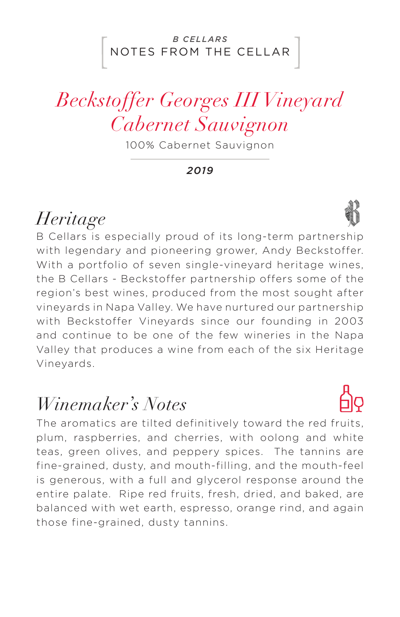### NOTES FROM THE CELLAR *B CELLARS*

# *Beckstoffer Georges III Vineyard Cabernet Sauvignon*

100% Cabernet Sauvignon

*2019*

## *Heritage*

B Cellars is especially proud of its long-term partnership with legendary and pioneering grower, Andy Beckstoffer. With a portfolio of seven single-vineyard heritage wines, the B Cellars - Beckstoffer partnership offers some of the region's best wines, produced from the most sought after vineyards in Napa Valley. We have nurtured our partnership with Beckstoffer Vineyards since our founding in 2003 and continue to be one of the few wineries in the Napa Valley that produces a wine from each of the six Heritage Vineyards.

### *Winemaker's Notes*

The aromatics are tilted definitively toward the red fruits, plum, raspberries, and cherries, with oolong and white teas, green olives, and peppery spices. The tannins are fine-grained, dusty, and mouth-filling, and the mouth-feel is generous, with a full and glycerol response around the entire palate. Ripe red fruits, fresh, dried, and baked, are balanced with wet earth, espresso, orange rind, and again those fine-grained, dusty tannins.